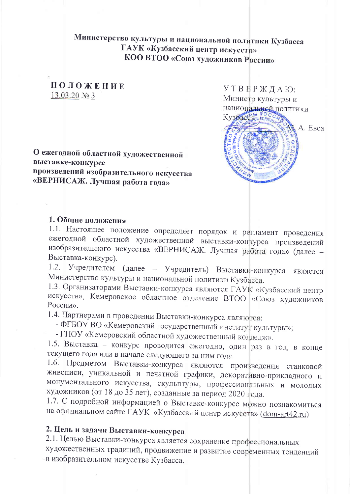# Министерство культуры и национальной политики Кузбасса ГАУК «Кузбасский центр искусств» КОО ВТОО «Союз художников России»

## ПОЛОЖЕНИЕ 13.03.20 No 3

О ежегодной областной художественной выставке-конкурсе произведений изобразительного искусства «ВЕРНИСАЖ. Лучшая работа года»



## 1. Общие положения

1.1. Настоящее положение определяет порядок и регламент проведения ежегодной областной художественной выставки-конкурса произведений изобразительного искусства «ВЕРНИСАЖ. Лучшая работа года» (далее -Выставка-конкурс).

Учредителем (далее - Учредитель) Выставки-конкурса является  $1.2.$ Министерство культуры и национальной политики Кузбасса.

1.3. Организаторами Выставки-конкурса являются ГАУК «Кузбасский центр искусств», Кемеровское областное отделение ВТОО «Союз художников России».

1.4. Партнерами в проведении Выставки-конкурса являются:

- ФГБОУ ВО «Кемеровский государственный институт культуры»;

- ГПОУ «Кемеровский областной художественный колледж».

1.5. Выставка - конкурс проводится ежегодно, один раз в год, в конце текущего года или в начале следующего за ним года.

1.6. Предметом Выставки-конкурса являются произведения станковой живописи, уникальной и печатной графики, декоративно-прикладного и монументального искусства, скульптуры, профессиональных и молодых художников (от 18 до 35 лет), созданные за период 2020 года.

1.7. С подробной информацией о Выставке-конкурсе можно познакомиться на официальном сайте ГАУК «Кузбасский центр искусств» (dom-art42.ru)

# 2. Цель и задачи Выставки-конкурса

2.1. Целью Выставки-конкурса является сохранение профессиональных художественных традиций, продвижение и развитие современных тенденций - в изобразительном искусстве Кузбасса.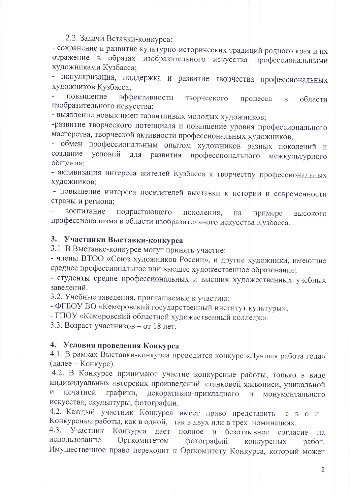2.2. Задачи Вставки-конкурса:

- сохранение и развитие культурно-исторических традиций родного края и их отражение в образах изобразительного искусства профессиональными художниками Кузбасса;

- популяризация, поддержка и развитие творчества профессиональных художников Кузбасса.

повышение эффективности творческого области процесса  $\overline{B}$ изобразительного искусства;

- выявление новых имен талантливых молодых художников;

-развитие творческого потенциала и повышение уровня профессионального мастерства, творческой активности профессиональных художников;

- обмен профессиональным опытом художников разных поколений и создание условий для развития профессионального межкультурного общения:

- активизация интереса жителей Кузбасса к творчеству профессиональных ХУДОЖНИКОВ;

- повышение интереса посетителей выставки к истории и современности страны и региона;

воспитание подрастающего поколения, на примере высокого профессионализма в области изобразительного искусства Кузбасса.

# 3. Участники Выставки-конкурса

3.1. В Выставке-конкурсе могут принять участие:

- члены ВТОО «Союз художников России», и другие художники, имеющие среднее профессиональное или высшее художественное образование;

- студенты средне профессиональных и высших художественных учебных завелений.

3.2. Учебные заведения, приглашаемые к участию:

- ФГБОУ ВО «Кемеровский государственный институт культуры»;

- ГПОУ «Кемеровский областной художественный колледж».

3.3. Возраст участников - от 18 лет.

# 4. Условия проведения Конкурса

4.1. В рамках Выставки-конкурса проводится конкурс «Лучшая работа года» (далее - Конкурс).

4.2. В Конкурсе принимают участие конкурсные работы, только в виде индивидуальных авторских произведений: станковой живописи, уникальной графики, декоративно-прикладного И печатной  $\,$  M монументального искусства, скульптуры, фотографии.

4.2. Каждый участник Конкурса имеет право представить  $C$  B O  $H$ Конкурсные работы, как в одной, так в двух или в трех номинациях.

 $4.3.$ Участник Конкурса дает полное и безотзывное согласие Ha использование Оргкомитетом фотографий конкурсных работ. Имущественное право переходит к Оргкомитету Конкурса, который может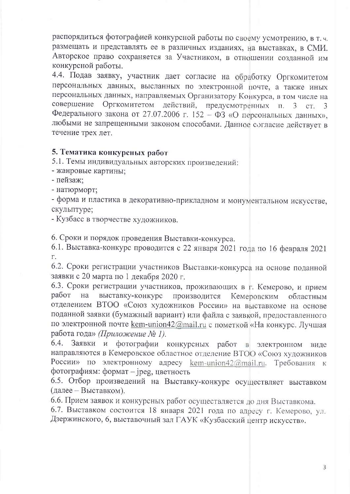распорядиться фотографией конкурсной работы по своему усмотрению, в т.ч. размещать и представлять ее в различных изданиях, на выставках, в СМИ. Авторское право сохраняется за Участником, в отношении созданной им конкурсной работы.

4.4. Подав заявку, участник дает согласие на обработку Оргкомитетом персональных данных, высланных по электронной почте, а также иных персональных данных, направляемых Организатору Конкурса, в том числе на совершение Оргкомитетом действий, предусмотренных п. 3 ct.  $\overline{3}$ Федерального закона от 27.07.2006 г. 152 - ФЗ «О персональных данных», любыми не запрещенными законом способами. Данное согласие действует в течение трех лет.

#### 5. Тематика конкурсных работ

5.1. Темы индивидуальных авторских произведений:

- жанровые картины;

- пейзаж;

- натюрморт;

- форма и пластика в декоративно-прикладном и монументальном искусстве, скульптуре;

- Кузбасс в творчестве художников.

6. Сроки и порядок проведения Выставки-конкурса.

6.1. Выставка-конкурс проводится с 22 января 2021 года по 16 февраля 2021  $\Gamma$ .

6.2. Сроки регистрации участников Выставки-конкурса на основе поданной заявки с 20 марта по 1 декабря 2020 г.

6.3. Сроки регистрации участников, проживающих в г. Кемерово, и прием работ на выставку-конкурс производится Кемеровским областным отделением ВТОО «Союз художников России» на выставкоме на основе поданной заявки (бумажный вариант) или файла с заявкой, предоставленного по электронной почте kem-union42@mail.ru с пометкой «На конкурс. Лучшая работа года» (Приложение № 1).

6.4. Заявки и фотографии конкурсных работ в электронном виде направляются в Кемеровское областное отделение ВТОО «Союз художников России» по электронному адресу kem-union $42@$ mail.ru. Требования к фотографиям: формат – јред, цветность

6.5. Отбор произведений на Выставку-конкурс осуществляет выставком (далее – Выставком).

6.6. Прием заявок и конкурсных работ осуществляется до дня Выставкома.

6.7. Выставком состоится 18 января 2021 года по адресу г. Кемерово, ул. Дзержинского, 6, выставочный зал ГАУК «Кузбасский центр искусств».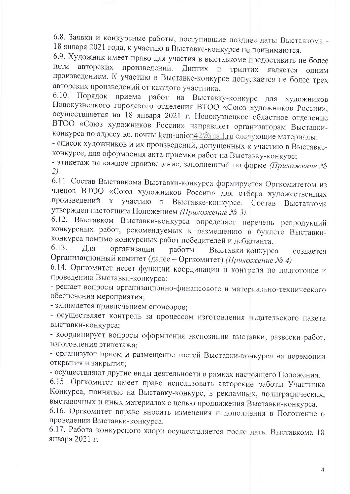6.8. Заявки и конкурсные работы, поступившие позднее даты Выставкома -18 января 2021 года, к участию в Выставке-конкурсе не принимаются.

6.9. Художник имеет право для участия в выставкоме предоставить не более ПЯТИ авторских произведений. Диптих и ТРИПТИХ является одним произведением. К участию в Выставке-конкурсе допускается не более трех авторских произведений от каждого участника.

6.10. Порядок приема работ на Выставку-конкурс ДЛЯ ХУДОЖНИКОВ Новокузнецкого городского отделения ВТОО «Союз художников России», осуществляется на 18 января 2021 г. Новокузнецкое областное отделение ВТОО «Союз художников России» направляет организаторам Выставкиконкурса по адресу эл. почты kem-union42@mail.ru следующие материалы:

- список художников и их произведений, допущенных к участию в Выставкеконкурсе, для оформления акта-приемки работ на Выставку-конкурс;

- этикетаж на каждое произведение, заполненный по форме (Приложение №  $(2)$ .

6.11. Состав Выставкома Выставки-конкурса формируется Оргкомитетом из членов ВТОО «Союз художников России» для отбора художественных произведений  $\rm K^$ участию в Выставке-конкурсе. Состав Выставкома утвержден настоящим Положением (Приложение № 3).

6.12. Выставком Выставки-конкурса определяет перечень репродукций конкурсных работ, рекомендуемых к размещению в буклете Выставкиконкурса помимо конкурсных работ победителей и дебютанта.

 $6.13.$ Для организации работы Выставки-конкурса создается Организационный комитет (далее - Оргкомитет) (Приложение № 4)

6.14. Оргкомитет несет функции координации и контроля по подготовке и проведению Выставки-конкурса:

- решает вопросы организационно-финансового и материально-технического обеспечения мероприятия;

- занимается привлечением спонсоров;

- осуществляет контроль за процессом изготовления издательского пакета выставки-конкурса;

- координирует вопросы оформления экспозиции выставки, развески работ, изготовления этикетажа;

- организуют прием и размещение гостей Выставки-конкурса на церемонии открытия и закрытия:

- осуществляют другие виды деятельности в рамках настоящего Положения.

6.15. Оргкомитет имеет право использовать авторские работы Участника Конкурса, принятые на Выставку-конкурс, в рекламных, полиграфических, выставочных и иных материалах с целью продвижения Выставки-конкурса.

6.16. Оргкомитет вправе вносить изменения и дополнения в Положение о проведении Выставки-конкурса.

6.17. Работа конкурсного жюри осуществляется после даты Выставкома 18 января 2021 г.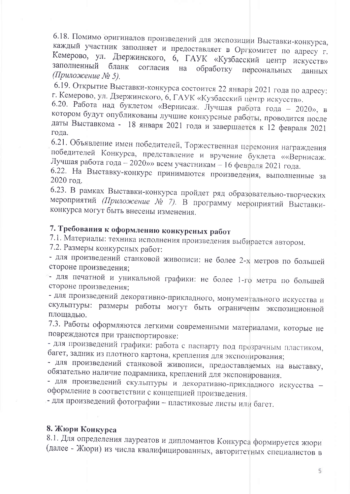6.18. Помимо оригиналов произведений для экспозиции Выставки-конкурса, каждый участник заполняет и предоставляет в Оргкомитет по адресу г. Кемерово, ул. Дзержинского, 6, ГАУК «Кузбасский центр искусств» заполненный бланк согласия на обработку персональных данных (Приложение № 5).

6.19. Открытие Выставки-конкурса состоится 22 января 2021 года по адресу: г. Кемерово, ул. Дзержинского, 6, ГАУК «Кузбасский центр искусств».

6.20. Работа над буклетом «Вернисаж. Лучшая работа года - 2020», в котором будут опубликованы лучшие конкурсные работы, проводится после даты Выставкома - 18 января 2021 года и завершается к 12 февраля 2021 года.

6.21. Объявление имен победителей, Торжественная церемония награждения победителей Конкурса, представление и вручение буклета ««Вернисаж. Лучшая работа года - 2020» всем участникам - 16 февраля 2021 года.

6.22. На Выставку-конкурс принимаются произведения, выполненные за 2020 год.

6.23. В рамках Выставки-конкурса пройдет ряд образовательно-творческих мероприятий (Приложение № 7). В программу мероприятий Выставкиконкурса могут быть внесены изменения.

# 7. Требования к оформлению конкурсных работ

7.1. Материалы: техника исполнения произведения выбирается автором.

7.2. Размеры конкурсных работ:

- для произведений станковой живописи: не более 2-х метров по большей стороне произведения;

- для печатной и уникальной графики: не более 1-го метра по большей стороне произведения:

- для произведений декоративно-прикладного, монументального искусства и скульптуры: размеры работы могут быть ограничены экспозиционной площадью.

7.3. Работы оформляются легкими современными материалами, которые не повреждаются при транспортировке:

- для произведений графики: работа с паспарту под прозрачным пластиком, багет, задник из плотного картона, крепления для экспонирования;

- для произведений станковой живописи, предоставляемых на выставку, обязательно наличие подрамника, креплений для экспонирования.

- для произведений скульптуры и декоративно-прикладного искусства оформление в соответствии с концепцией произведения.

- для произведений фотографии - пластиковые листы или багет.

## 8. Жюри Конкурса

8.1. Для определения лауреатов и дипломантов Конкурса формируется жюри (далее - Жюри) из числа квалифицированных, авторитетных специалистов в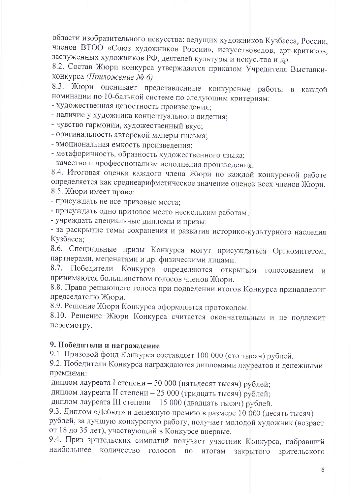области изобразительного искусства: ведущих художников Кузбасса, России, членов ВТОО «Союз художников России», искусствоведов, арт-критиков, заслуженных художников РФ, деятелей культуры и искусства и др.

8.2. Состав Жюри конкурса утверждается приказом Учредителя Выставкиконкурса (Приложение № 6)

8.3. Жюри оценивает представленные конкурсные работы в каждой номинации по 10-бальной системе по следующим критериям:

- художественная целостность произведения;

- наличие у художника концептуального видения;

- чувство гармонии, художественный вкус;

- оригинальность авторской манеры письма;

- эмоциональная емкость произведения;

- метафоричность, образность художественного языка;

- качество и профессионализм исполнения произведения.

8.4. Итоговая оценка каждого члена Жюри по каждой конкурсной работе определяется как среднеарифметическое значение оценок всех членов Жюри. 8.5. Жюри имеет право:

- присуждать не все призовые места;

- присуждать одно призовое место нескольким работам;

- учреждать специальные дипломы и призы:

- за раскрытие темы сохранения и развития историко-культурного наследия Кузбасса;

8.6. Специальные призы Конкурса могут присуждаться Оргкомитетом, партнерами, меценатами и др. физическими лицами.

8.7. Победители Конкурса определяются открытым голосованием И принимаются большинством голосов членов Жюри.

8.8. Право решающего голоса при подведении итогов Конкурса принадлежит председателю Жюри.

8.9. Решение Жюри Конкурса оформляется протоколом.

8.10. Решение Жюри Конкурса считается окончательным и не подлежит пересмотру.

### 9. Победители и награждение

9.1. Призовой фонд Конкурса составляет 100 000 (сто тысяч) рублей.

9.2. Победители Конкурса награждаются дипломами лауреатов и денежными премиями:

диплом лауреата I степени - 50 000 (пятьдесят тысяч) рублей;

диплом лауреата II степени - 25 000 (тридцать тысяч) рублей;

диплом лауреата III степени - 15 000 (двадцать тысяч) рублей.

9.3. Диплом «Дебют» и денежную премию в размере 10 000 (десять тысяч)

рублей, за лучшую конкурсную работу, получает молодой художник (возраст от 18 до 35 лет), участвующий в Конкурсе впервые.

9.4. Приз зрительских симпатий получает участник Конкурса, набравший наибольшее количество голосов  $\Pi{\rm O}$ итогам закрытого зрительского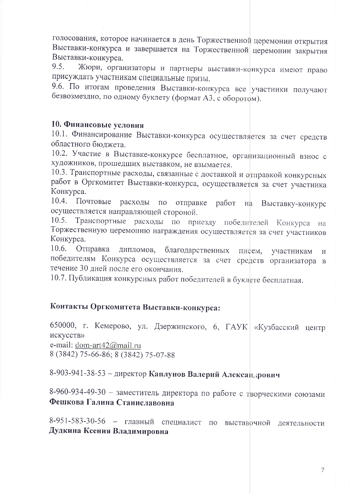голосования, которое начинается в день Торжественной церемонии открытия Выставки-конкурса и завершается на Торжественной церемонии закрытия Выставки-конкурса.

Жюри, организаторы и партнеры выставки-конкурса имеют право  $9.5.$ присуждать участникам специальные призы.

9.6. По итогам проведения Выставки-конкурса все участники получают безвозмездно, по одному буклету (формат А3, с оборотом).

### 10. Финансовые условия

10.1. Финансирование Выставки-конкурса осуществляется за счет средств областного бюджета.

10.2. Участие в Выставке-конкурсе бесплатное, организационный взнос с художников, прошедших выставком, не взымается.

10.3. Транспортные расходы, связанные с доставкой и отправкой конкурсных работ в Оргкомитет Выставки-конкурса, осуществляется за счет участника Конкурса.

10.4. Почтовые расходы отправке работ  $\Pi$ O на Выставку-конкурс осуществляется направляющей стороной.

Транспортные расходы по приезду победителей Конкурса на  $10.5.$ Торжественную церемонию награждения осуществляется за счет участников Конкурса.

10.6. Отправка ДИПЛОМОВ, благодарственных писем. участникам  $\overline{M}$ победителям Конкурса осуществляется за счет средств организатора в течение 30 дней после его окончания.

10.7. Публикация конкурсных работ победителей в буклете бесплатная.

# Контакты Оргкомитета Выставки-конкурса:

650000, г. Кемерово, ул. Дзержинского, 6, ГАУК «Кузбасский центр искусств» e-mail: dom-art42@mail.ru 8 (3842) 75-66-86; 8 (3842) 75-07-88

8-903-941-38-53 - директор Каплунов Валерий Александрович

8-960-934-49-30 - заместитель директора по работе с творческими союзами Фешкова Галина Станиславовна

8-951-583-30-56 - главный специалист по выставочной деятельности Дудкина Ксения Владимировна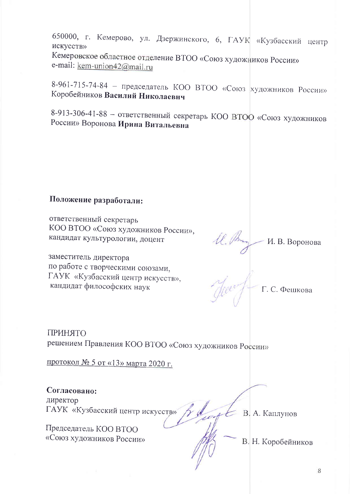650000, г. Кемерово, ул. Дзержинского, 6, ГАУК «Кузбасский центр искусств»

Кемеровское областное отделение ВТОО «Союз художников России» e-mail: kem-union42@mail.ru

8-961-715-74-84 - председатель КОО ВТОО «Союз художников России» Коробейников Василий Николаевич

8-913-306-41-88 - ответственный секретарь КОО ВТОО «Союз художников России» Воронова Ирина Витальевна

## Положение разработали:

ответственный секретарь КОО ВТОО «Союз художников России», кандидат культурологии, доцент

заместитель директора по работе с творческими союзами, ГАУК «Кузбасский центр искусств», кандидат философских наук

И. В. Воронова

Г. С. Фешкова

**ПРИНЯТО** решением Правления КОО ВТОО «Союз художников России»

протокол № 5 от «13» марта 2020 г.

Согласовано: директор ГАУК «Кузбасский центр искусств»

Председатель KOO BTOO «Союз художников России»

В. Н. Коробейников

В. А. Каплунов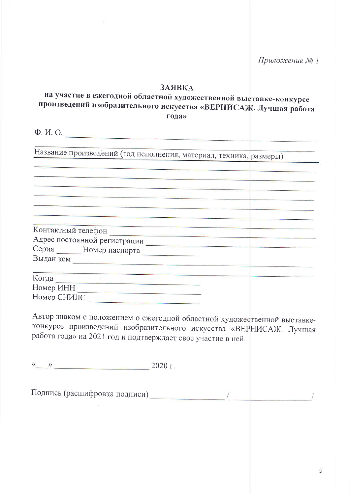#### *BASIBKA*

## на участие в ежегодной областной художественной выставке-конкурсе произведений изобразительного искусства «ВЕРНИСАЖ. Лучшая работа года»

 $\Phi$ .  $M$ . O.

Название произведений (год исполнения, материал, техника, размеры)

| Контактный телефон           |  |
|------------------------------|--|
| Адрес постоянной регистрации |  |
| Серия<br>- Номер паспорта    |  |
|                              |  |

Выдан кем

| Когда       |  |
|-------------|--|
| Номер ИНН   |  |
| Номер СНИЛС |  |

Автор знаком с положением о ежегодной областной художественной выставкеконкурсе произведений изобразительного искусства «ВЕРНИСАЖ. Лучшая работа года» на 2021 год и подтверждает свое участие в ней.

 $\frac{M_{\text{max}}}{M}$  2020 r.

Подпись (расшифровка подписи) при подписи подписи под при подписи под писательно под при подписи под при подписи под при под при под при под при под при под при под при под при под при под при под при под при под при под п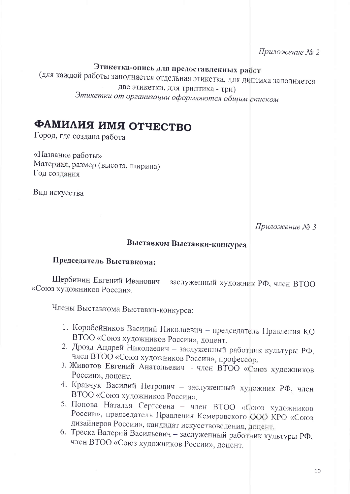# Этикетка-опись для предоставленных работ

(для каждой работы заполняется отдельная этикетка, для диптиха заполняется две этикетки, для триптиха - три) Этикетки от организации оформляются общим списком

# ФАМИЛИЯ ИМЯ ОТЧЕСТВО

Город, где создана работа

«Название работы» Материал, размер (высота, ширина) Год создания

Вид искусства

Приложение № 3

# Выставком Выставки-конкурса

# Председатель Выставкома:

Шербинин Евгений Иванович - заслуженный художник РФ, член ВТОО «Союз художников России».

Члены Выставкома Выставки-конкурса:

- 1. Коробейников Василий Николаевич председатель Правления КО ВТОО «Союз художников России», доцент.
- 2. Дрозд Андрей Николаевич заслуженный работник культуры РФ, член ВТОО «Союз художников России», профессор.
- 3. Животов Евгений Анатольевич член ВТОО «Союз художников России», доцент.
- 4. Кравчук Василий Петрович заслуженный художник РФ, член ВТОО «Союз художников России».
- 5. Попова Наталья Сергеевна член ВТОО «Союз художников России», председатель Правления Кемеровского ООО КРО «Союз дизайнеров России», кандидат искусствоведения, доцент.
- 6. Треска Валерий Васильевич заслуженный работник культуры РФ, член ВТОО «Союз художников России», доцент.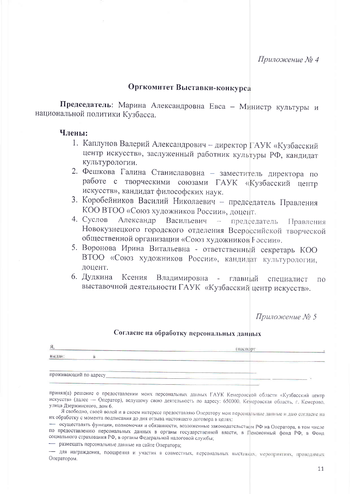### Оргкомитет Выставки-конкурса

Председатель: Марина Александровна Евса - Министр культуры и национальной политики Кузбасса.

#### Члены:

- 1. Каплунов Валерий Александрович директор ГАУК «Кузбасский центр искусств», заслуженный работник культуры РФ, кандидат культурологии.
- 2. Фешкова Галина Станиславовна заместитель директора по работе с творческими союзами ГАУК «Кузбасский центр искусств», кандидат философских наук.
- 3. Коробейников Василий Николаевич председатель Правления КОО ВТОО «Союз художников России», доцент.
- 4. Суслов Александр Васильевич - председатель Правления Новокузнецкого городского отделения Всероссийской творческой общественной организации «Союз художников F оссии».
- 5. Воронова Ирина Витальевна ответственный секретарь КОО ВТОО «Союз художников России», кандидат культурологии, доцент.
- 6. Дудкина Ксения Владимировна  $\omega_{\rm{max}}$ главный специалист  $\Pi$ O выставочной деятельности ГАУК «Кузбасский центр искусств».

Приложение № 5

#### Согласие на обработку персональных данных

| Я                                                                        |                                                                                                                         | паспорт                                                                                                                                        |  |
|--------------------------------------------------------------------------|-------------------------------------------------------------------------------------------------------------------------|------------------------------------------------------------------------------------------------------------------------------------------------|--|
| <b>CARL AND RESIDENTS</b><br>выдан<br>and the property of the control of | <u> 1980 - Anna ann an Aonaichte ann an Aonaichte ann an Aonaichte ann an Aonaichte ann an Aonaichte ann an Aonaich</u> | <b>Contract Contract</b><br>___<br>the company's company's<br>and the company's company's company's company's<br>the control of the control of |  |
|                                                                          |                                                                                                                         | Commercial Contract Contract Contract<br>the control of the control of the control of<br>and the control of the control of                     |  |
|                                                                          | проживающий по адресу                                                                                                   |                                                                                                                                                |  |

принял(а) решение о предоставлении моих персональных данных ГАУК Кемеровской области «Кузбасский центр искусств» (далее - Оператор), ведущему свою деятельность по адресу: 650000. Кемеровская область, г. Кемерово, улица Дзержинского, дом 6.

Я свободно, своей волей и в своем интересе предоставляю Оператору мои персональные данные и даю согласие на их обработку с момента подписания до дня отзыва настоящего договора в целях:

- осуществлять функции, полномочия и обязанности, возложенные законодательством РФ на Оператора, в том числе по предоставлению персональных данных в органы государственной власти, в Пенсионный фонд РФ, в Фонд социального страхования РФ, в органы Федеральной налоговой службы;

- размещать персональные данные на сайте Оператора;

- для награждения, поощрения и участия в совместных, персональных выставках, мероприятиях, проводимых Оператором.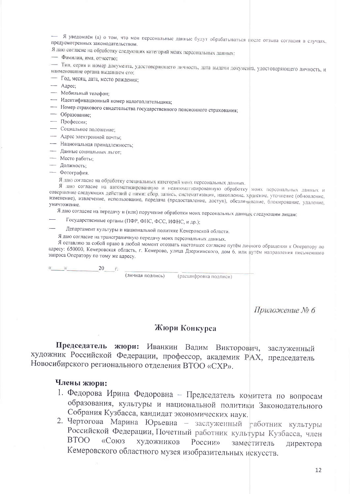- Я уведомлён (а) о том, что мои персональные данные будут обрабатываться после отзыва согласия в случаях, предусмотренных законодательством.

Я даю согласие на обработку следующих категорий моих персональных данных:

- Фамилия, имя, отчество:

- Тип, серия и номер документа, удостоверяющего личность, дата выдачи документа, удостоверяющего личность, и наименование органа выдавшем его;

- Год, месяц, дата, место рождения;

 $-$  Agpec:

- Мобильный телефон;

- Идентификационный номер налогоплательщика;

- Номер страхового свидетельства государственного пенсионного страхования;

- Образование;

- Профессия:

- Социальное положение;

- Адрес электронной почты;

- Национальная принадлежность;

- Данные социальных льгот;

- Место работы:

- Должность;

- Фотография.

 $\rightarrow$ 

Я даю согласие на обработку специальных категорий моих персональных данных.

Я даю согласие на автоматизированную и неавтоматизированную обработку моих персональных данных и совершение следующих действий с ними: сбор, запись, систематизация, накопление, хранение, уточнение (обновление, изменение), извлечение, использование, передача (предоставление, доступ), обезличивание, блокирование, удаление, уничтожение.

Я даю согласие на передачу и (или) поручение обработки моих персональных данных следующим лицам:

Государственные органы (ПФР, ФНС, ФСС, ИФНС, и др.);

 $20$   $\Gamma$ 

Департамент культуры и национальной политике Кемеровской области.

Я даю согласие на трансграничную передачу моих персональных данных.

Я оставляю за собой право в любой момент отозвать настоящее согласие путём личного обращения к Оператору по адресу: 650000, Кемеровская область, г. Кемерово, улица Дзержинского, дом 6. или путём направления письменного запроса Оператору по тому же адресу.

> (личная подпись) (расшифровка подписи)

> > Приложение №6

#### Жюри Конкурса

Председатель жюри: Иванкин Вадим Викторович, заслуженный художник Российской Федерации, профессор, академик РАХ, председатель Новосибирского регионального отделения ВТОО «СХР».

#### Члены жюри:

- 1. Федорова Ирина Федоровна Председатель комитета по вопросам образования, культуры и национальной политики Законодательного Собрания Кузбасса, кандидат экономических наук.
- 2. Чертогова Марина Юрьевна заслуженный габотник культуры Российской Федерации, Почетный работник культуры Кузбасса, член **BTOO**  $\langle \langle \text{Cop } \rho_3 \rangle$ художников  $Pocchh$ заместитель директора Кемеровского областного музея изобразительных искусств.